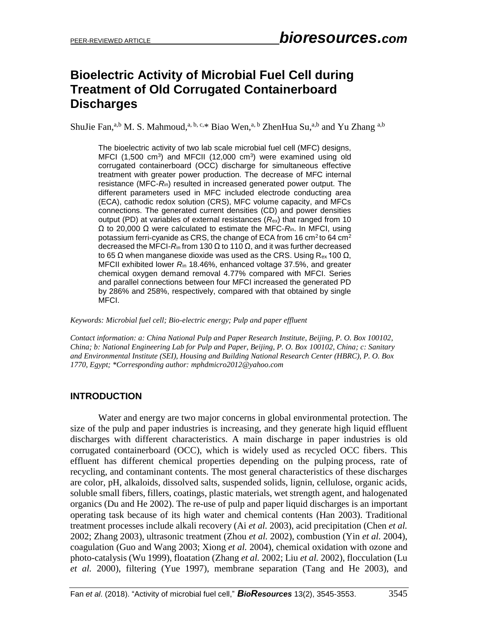# **Bioelectric Activity of Microbial Fuel Cell during Treatment of Old Corrugated Containerboard Discharges**

ShuJie Fan,<sup>a,b</sup> M. S. Mahmoud,<sup>a, b, c,\*</sup> Biao Wen,<sup>a, b</sup> ZhenHua Su,<sup>a,b</sup> and Yu Zhang <sup>a,b</sup>

The bioelectric activity of two lab scale microbial fuel cell (MFC) designs, MFCI (1,500 cm<sup>3</sup>) and MFCII (12,000 cm<sup>3</sup>) were examined using old corrugated containerboard (OCC) discharge for simultaneous effective treatment with greater power production. The decrease of MFC internal resistance (MFC-*R*in) resulted in increased generated power output. The different parameters used in MFC included electrode conducting area (ECA), cathodic redox solution (CRS), MFC volume capacity, and MFCs connections. The generated current densities (CD) and power densities output (PD) at variables of external resistances (*R*ex) that ranged from 10 Ω to 20,000 Ω were calculated to estimate the MFC-*R*in. In MFCI, using potassium ferri-cyanide as CRS, the change of ECA from 16 cm<sup>2</sup> to 64 cm<sup>2</sup> decreased the MFCI- $R_{in}$  from 130 Ω to 110 Ω, and it was further decreased to 65 Ω when manganese dioxide was used as the CRS. Using R<sub>ex</sub> 100 Ω, MFCII exhibited lower *R*in 18.46%, enhanced voltage 37.5%, and greater chemical oxygen demand removal 4.77% compared with MFCI. Series and parallel connections between four MFCI increased the generated PD by 286% and 258%, respectively, compared with that obtained by single MFCI.

*Keywords: Microbial fuel cell; Bio-electric energy; Pulp and paper effluent*

*Contact information: a: China National Pulp and Paper Research Institute, Beijing, P. O. Box 100102, China; b: National Engineering Lab for Pulp and Paper, Beijing, P. O. Box 100102, China; c: Sanitary and Environmental Institute (SEI), Housing and Building National Research Center (HBRC), P. O. Box 1770, Egypt; \*Corresponding author[: mphdmicro2012@yahoo.com](mailto:mphdmicro2012@yahoo.com)*

### **INTRODUCTION**

Water and energy are two major concerns in global environmental protection. The size of the pulp and paper industries is increasing, and they generate high liquid effluent discharges with different characteristics. A main discharge in paper industries is old corrugated containerboard (OCC), which is widely used as recycled OCC fibers. This effluent has different chemical properties depending on the [pulping](https://en.wikipedia.org/wiki/Pulping) process, rate of [recycli](https://en.wikipedia.org/wiki/Recycling)ng, and contaminant contents. The most general characteristics of these discharges are color, pH, alkaloids, dissolved salts, suspended solids, lignin, cellulose, organic acids, soluble small fibers, fillers, coatings, plastic materials, wet strength agent, and halogenated organics (Du and He 2002). The re-use of pulp and paper liquid discharges is an important operating task because of its high water and chemical contents (Han 2003). Traditional treatment processes include alkali recovery (Ai *et al.* 2003), acid precipitation (Chen *et al.*  2002; Zhang 2003), ultrasonic treatment (Zhou *et al.* 2002), combustion (Yin *et al.* 2004), coagulation (Guo and Wang 2003; Xiong *et al.* 2004), chemical oxidation with ozone and photo-catalysis (Wu 1999), floatation (Zhang *et al.* 2002; Liu *et al.* 2002), flocculation (Lu *et al.* 2000), filtering (Yue 1997), membrane separation (Tang and He 2003), and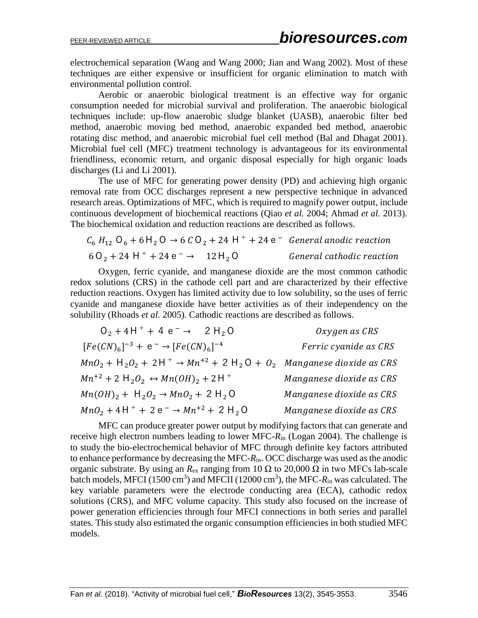electrochemical separation (Wang and Wang 2000; Jian and Wang 2002). Most of these techniques are either expensive or insufficient for organic elimination to match with environmental pollution control.

Aerobic or anaerobic biological treatment is an effective way for organic consumption needed for microbial survival and proliferation. The anaerobic biological techniques include: up-flow anaerobic sludge blanket (UASB), anaerobic filter bed method, anaerobic moving bed method, anaerobic expanded bed method, anaerobic rotating disc method, and anaerobic microbial fuel cell method [\(Bal](https://www.ncbi.nlm.nih.gov/pubmed/?term=Bal%20AS%5BAuthor%5D&cauthor=true&cauthor_uid=12397675) and [Dhagat](https://www.ncbi.nlm.nih.gov/pubmed/?term=Dhagat%20NN%5BAuthor%5D&cauthor=true&cauthor_uid=12397675) 2001). Microbial fuel cell (MFC) treatment technology is advantageous for its environmental friendliness, economic return, and organic disposal especially for high organic loads discharges (Li and Li 2001).

The use of MFC for generating power density (PD) and achieving high organic removal rate from OCC discharges represent a new perspective technique in advanced research areas. Optimizations of MFC, which is required to magnify power output, include continuous development of biochemical reactions (Qiao *et al.* 2004; Ahmad *et al.* 2013). The biochemical oxidation and reduction reactions are described as follows.

$$
C_6 H_{12} O_6 + 6 H_2 O \rightarrow 6 CO_2 + 24 H^+ + 24 e^-
$$
 General anodic reaction  
\n $6O_2 + 24 H^+ + 24 e^- \rightarrow 12 H_2 O$  General cathodic reaction

Oxygen, ferric cyanide, and manganese dioxide are the most common cathodic redox solutions (CRS) in the cathode cell part and are characterized by their effective reduction reactions. Oxygen has limited activity due to low solubility, so the uses of ferric cyanide and manganese dioxide have better activities as of their independency on the solubility (Rhoads *et al.* 2005). Cathodic reactions are described as follows.

| $0_2 + 4H^+ + 4e^- \rightarrow 2H_2O$                                                       | Oxygen as CRS            |
|---------------------------------------------------------------------------------------------|--------------------------|
| $[Fe(CN)6]-3 + e^- \rightarrow [Fe(CN)6]-4$                                                 | Ferric cyanide as CRS    |
| $MnO_2 + H_2O_2 + 2H^+ \rightarrow Mn^{+2} + 2H_2O + O_2$ Manganese dioxide as CRS          |                          |
| $Mn^{+2}$ + 2 H <sub>2</sub> O <sub>2</sub> $\leftrightarrow Mn(OH)_{2}$ + 2 H <sup>+</sup> | Manganese dioxide as CRS |
| $Mn(OH)_{2} + H_{2}O_{2} \rightarrow MnO_{2} + 2 H_{2}O$                                    | Manganese dioxide as CRS |
| $MnO_2 + 4H^+ + 2e^- \rightarrow Mn^{+2} + 2H_2O$                                           | Manganese dioxide as CRS |

MFC can produce greater power output by modifying factors that can generate and receive high electron numbers leading to lower MFC-*R*in (Logan 2004). The challenge is to study the bio-electrochemical behavior of MFC through definite key factors attributed to enhance performance by decreasing the MFC-*R*in. OCC discharge was used as the anodic organic substrate. By using an  $R_{\text{ex}}$  ranging from 10  $\Omega$  to 20,000  $\Omega$  in two MFCs lab-scale batch models, MFCI (1500 cm<sup>3</sup>) and MFCII (12000 cm<sup>3</sup>), the MFC- $R_{\text{in}}$  was calculated. The key variable parameters were the electrode conducting area (ECA), cathodic redox solutions (CRS), and MFC volume capacity. This study also focused on the increase of power generation efficiencies through four MFCI connections in both series and parallel states. This study also estimated the organic consumption efficiencies in both studied MFC models.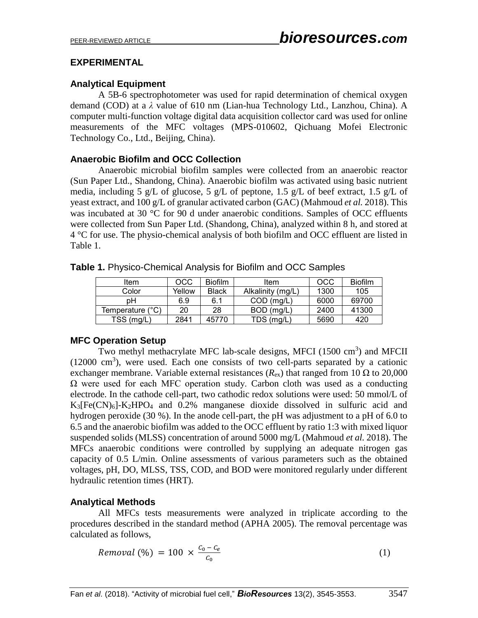#### **EXPERIMENTAL**

#### **Analytical Equipment**

A 5B-6 spectrophotometer was used for rapid determination of chemical oxygen demand (COD) at a *λ* value of 610 nm (Lian-hua Technology Ltd., Lanzhou, China). A computer multi-function voltage digital data acquisition collector card was used for online measurements of the MFC voltages (MPS-010602, Qichuang Mofei Electronic Technology Co., Ltd., Beijing, China).

#### **Anaerobic Biofilm and OCC Collection**

Anaerobic microbial biofilm samples were collected from an anaerobic reactor (Sun Paper Ltd., Shandong, China). Anaerobic biofilm was activated using basic nutrient media, including 5 g/L of glucose, 5 g/L of peptone, 1.5 g/L of beef extract, 1.5 g/L of yeast extract, and 100 g/L of granular activated carbon (GAC) (Mahmoud *et al.* 2018). This was incubated at 30 °C for 90 d under anaerobic conditions. Samples of OCC effluents were collected from Sun Paper Ltd. (Shandong, China), analyzed within 8 h, and stored at 4 °C for use. The physio-chemical analysis of both biofilm and OCC effluent are listed in Table 1.

| Item             | OCC    | <b>Biofilm</b> | Item              | OCC  | <b>Biofilm</b> |
|------------------|--------|----------------|-------------------|------|----------------|
| Color            | Yellow | <b>Black</b>   | Alkalinity (mg/L) | 1300 | 105            |
| pН               | 6.9    | 6.1            | $COD$ (mg/L)      | 6000 | 69700          |
| Temperature (°C) | 20     | 28             | $BOD$ (mg/L)      | 2400 | 41300          |
| TSS (mg/L)       | 2841   | 45770          | TDS (mg/L)        | 5690 | 420            |

**Table 1.** Physico-Chemical Analysis for Biofilm and OCC Samples

### **MFC Operation Setup**

Two methyl methacrylate MFC lab-scale designs, MFCI  $(1500 \text{ cm}^3)$  and MFCII  $(12000 \text{ cm}^3)$ , were used. Each one consists of two cell-parts separated by a cationic exchanger membrane. Variable external resistances ( $R_{ex}$ ) that ranged from 10  $\Omega$  to 20,000  $\Omega$  were used for each MFC operation study. Carbon cloth was used as a conducting electrode. In the cathode cell-part, two cathodic redox solutions were used: 50 mmol/L of  $K_3[Fe(CN)_6] - K_2HPO_4$  and 0.2% manganese dioxide dissolved in sulfuric acid and hydrogen peroxide (30 %). In the anode cell-part, the pH was adjustment to a pH of 6.0 to 6.5 and the anaerobic biofilm was added to the OCC effluent by ratio 1:3 with mixed liquor suspended solids (MLSS) concentration of around 5000 mg/L (Mahmoud *et al.* 2018). The MFCs anaerobic conditions were controlled by supplying an adequate nitrogen gas capacity of 0.5 L/min. Online assessments of various parameters such as the obtained voltages, pH, DO, MLSS, TSS, COD, and BOD were monitored regularly under different hydraulic retention times (HRT).

### **Analytical Methods**

All MFCs tests measurements were analyzed in triplicate according to the procedures described in the standard method (APHA 2005). The removal percentage was calculated as follows,

$$
Removal (%) = 100 \times \frac{c_0 - c_e}{c_0} \tag{1}
$$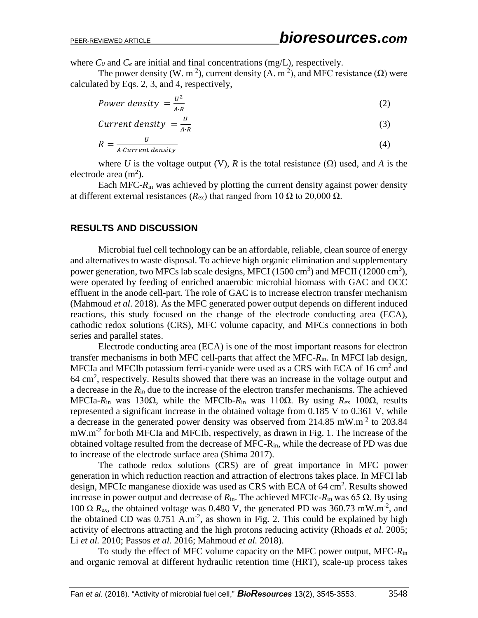where  $C_0$  and  $C_e$  are initial and final concentrations (mg/L), respectively.

The power density (W. m<sup>-2</sup>), current density (A. m<sup>-2</sup>), and MFC resistance ( $\Omega$ ) were calculated by Eqs. 2, 3, and 4, respectively,

$$
Power density = \frac{U^2}{A \cdot R} \tag{2}
$$

$$
Current density = \frac{U}{A \cdot R} \tag{3}
$$

$$
R = \frac{U}{A \cdot Current\ density} \tag{4}
$$

where *U* is the voltage output (V), *R* is the total resistance ( $\Omega$ ) used, and *A* is the electrode area  $(m<sup>2</sup>)$ .

Each MFC-*R*in was achieved by plotting the current density against power density at different external resistances ( $R_{\rm ex}$ ) that ranged from 10 Ω to 20,000 Ω.

#### **RESULTS AND DISCUSSION**

Microbial fuel cell technology can be an affordable, reliable, clean source of energy and alternatives to waste disposal. To achieve high organic elimination and supplementary power generation, two MFCs lab scale designs, MFCI  $(1500 \text{ cm}^3)$  and MFCII  $(12000 \text{ cm}^3)$ , were operated by feeding of enriched anaerobic microbial biomass with GAC and OCC effluent in the anode cell-part. The role of GAC is to increase electron transfer mechanism (Mahmoud *et al*. 2018). As the MFC generated power output depends on different induced reactions, this study focused on the change of the electrode conducting area (ECA), cathodic redox solutions (CRS), MFC volume capacity, and MFCs connections in both series and parallel states.

Electrode conducting area (ECA) is one of the most important reasons for electron transfer mechanisms in both MFC cell-parts that affect the MFC-*R*in. In MFCI lab design, MFCIa and MFCIb potassium ferri-cyanide were used as a CRS with ECA of 16 cm<sup>2</sup> and 64 cm<sup>2</sup>, respectively. Results showed that there was an increase in the voltage output and a decrease in the *R*in due to the increase of the electron transfer mechanisms. The achieved MFCIa-*R*in was 130Ω, while the MFCIb-*R*in was 110Ω. By using *R*ex 100Ω, results represented a significant increase in the obtained voltage from 0.185 V to 0.361 V, while a decrease in the generated power density was observed from 214.85 mW.m<sup>-2</sup> to 203.84 mW.m<sup>-2</sup> for both MFCIa and MFCIb, respectively, as drawn in Fig. 1. The increase of the obtained voltage resulted from the decrease of MFC-Rin, while the decrease of PD was due to increase of the electrode surface area (Shima 2017).

The cathode redox solutions (CRS) are of great importance in MFC power generation in which reduction reaction and attraction of electrons takes place. In MFCI lab design, MFCIc manganese dioxide was used as CRS with ECA of 64 cm<sup>2</sup>. Results showed increase in power output and decrease of *R*in. The achieved MFCIc-*R*in was 65 Ω. By using 100 Ω  $R_{\text{ex}}$ , the obtained voltage was 0.480 V, the generated PD was 360.73 mW.m<sup>-2</sup>, and the obtained CD was  $0.751$  A.m<sup>-2</sup>, as shown in Fig. 2. This could be explained by high activity of electrons attracting and the high protons reducing activity (Rhoads *et al.* 2005; Li *et al.* 2010; Passos *et al.* 2016; Mahmoud *et al.* 2018).

To study the effect of MFC volume capacity on the MFC power output, MFC-*R*in and organic removal at different hydraulic retention time (HRT), scale-up process takes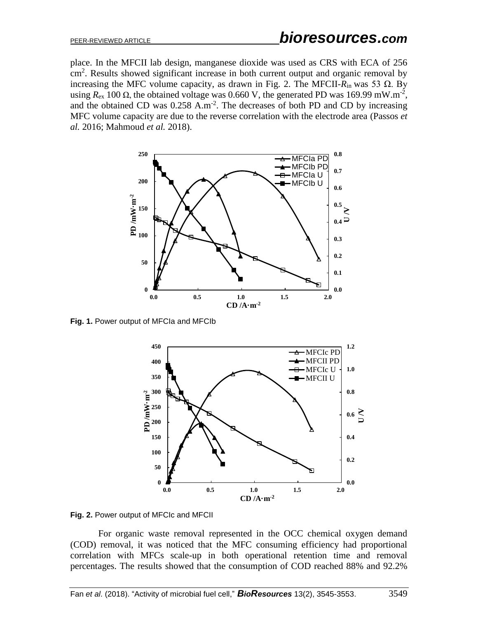place. In the MFCII lab design, manganese dioxide was used as CRS with ECA of 256 cm<sup>2</sup>. Results showed significant increase in both current output and organic removal by increasing the MFC volume capacity, as drawn in Fig. 2. The MFCII- $R_{\text{in}}$  was 53 Ω. By using  $R_{\text{ex}}$  100  $\Omega$ , the obtained voltage was 0.660 V, the generated PD was 169.99 mW.m<sup>-2</sup>, and the obtained CD was  $0.258$  A.m<sup>-2</sup>. The decreases of both PD and CD by increasing MFC volume capacity are due to the reverse correlation with the electrode area (Passos *et al.* 2016; Mahmoud *et al.* 2018).



**Fig. 1.** Power output of MFCIa and MFCIb



**Fig. 2.** Power output of MFCIc and MFCII

For organic waste removal represented in the OCC chemical oxygen demand (COD) removal, it was noticed that the MFC consuming efficiency had proportional correlation with MFCs scale-up in both operational retention time and removal percentages. The results showed that the consumption of COD reached 88% and 92.2%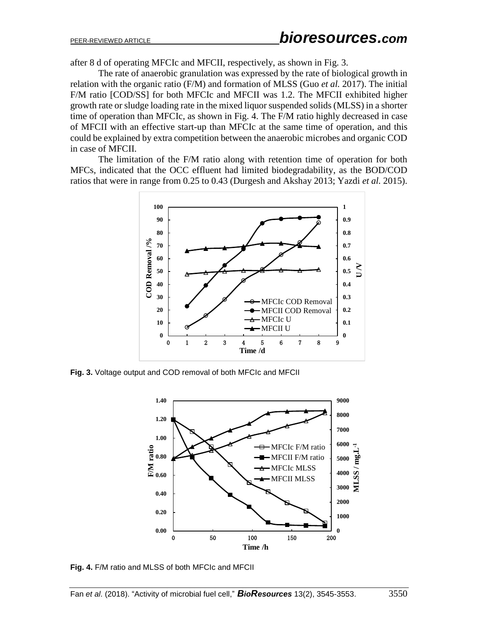after 8 d of operating MFCIc and MFCII, respectively, as shown in Fig. 3.

The rate of anaerobic granulation was expressed by the rate of biological growth in relation with the organic ratio (F/M) and formation of MLSS (Guo *et al.* 2017). The initial F/M ratio [COD/SS] for both MFCIc and MFCII was 1.2. The MFCII exhibited higher growth rate or sludge loading rate in the mixed liquor suspended solids (MLSS) in a shorter time of operation than MFCIc, as shown in Fig. 4. The F/M ratio highly decreased in case of MFCII with an effective start-up than MFCIc at the same time of operation, and this could be explained by extra competition between the anaerobic microbes and organic COD in case of MFCII.

The limitation of the F/M ratio along with retention time of operation for both MFCs, indicated that the OCC effluent had limited biodegradability, as the BOD/COD ratios that were in range from 0.25 to 0.43 (Durgesh and Akshay 2013; Yazdi *et al.* 2015).



**Fig. 3.** Voltage output and COD removal of both MFCIc and MFCII



**Fig. 4.** F/M ratio and MLSS of both MFCIc and MFCII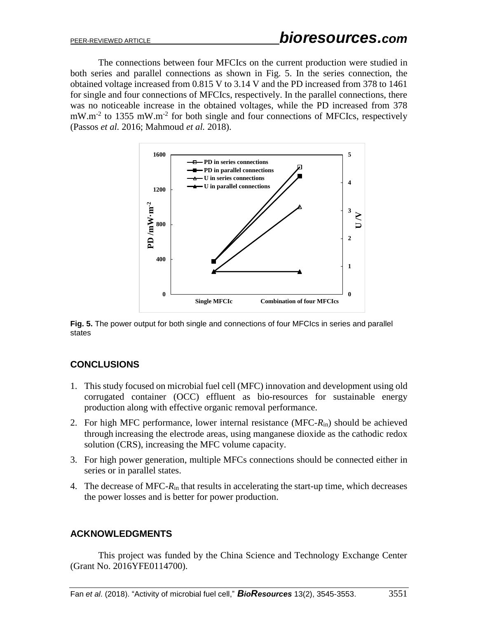The connections between four MFCIcs on the current production were studied in both series and parallel connections as shown in Fig. 5. In the series connection, the obtained voltage increased from 0.815 V to 3.14 V and the PD increased from 378 to 1461 for single and four connections of MFCIcs, respectively. In the parallel connections, there was no noticeable increase in the obtained voltages, while the PD increased from 378 mW.m<sup>-2</sup> to 1355 mW.m<sup>-2</sup> for both single and four connections of MFCIcs, respectively (Passos *et al.* 2016; Mahmoud *et al.* 2018).



**Fig. 5.** The power output for both single and connections of four MFCIcs in series and parallel states

# **CONCLUSIONS**

- 1. This study focused on microbial fuel cell (MFC) innovation and development using old corrugated container (OCC) effluent as bio-resources for sustainable energy production along with effective organic removal performance.
- 2. For high MFC performance, lower internal resistance (MFC-*R*in) should be achieved through increasing the electrode areas, using manganese dioxide as the cathodic redox solution (CRS), increasing the MFC volume capacity.
- 3. For high power generation, multiple MFCs connections should be connected either in series or in parallel states.
- 4. The decrease of MFC-*R*in that results in accelerating the start-up time, which decreases the power losses and is better for power production.

### **ACKNOWLEDGMENTS**

This project was funded by the China Science and Technology Exchange Center (Grant No. 2016YFE0114700).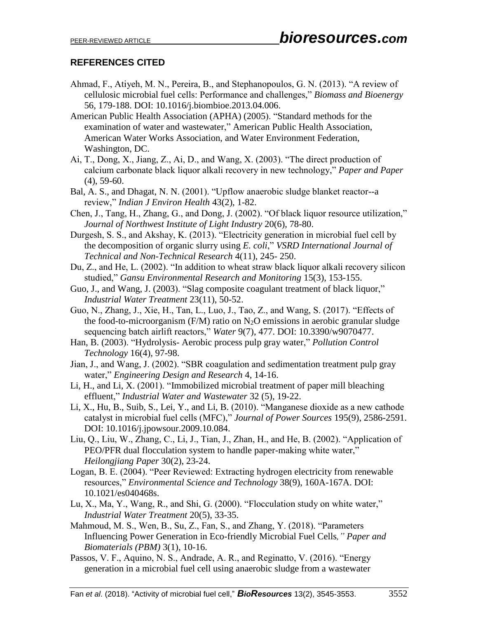## **REFERENCES CITED**

- Ahmad, F., Atiyeh, M. N., Pereira, B., and Stephanopoulos, G. N. (2013). "A review of cellulosic microbial fuel cells: Performance and challenges," *Biomass and Bioenergy* 56, 179-188. DOI: [10.1016/j.biombioe.2013.04.006.](https://doi.org/10.1016/j.biombioe.2013.04.006)
- American Public Health Association (APHA) (2005). "Standard methods for the examination of water and wastewater," American Public Health Association, American Water Works Association, and Water Environment Federation, Washington, DC.
- Ai, T., Dong, X., Jiang, Z., Ai, D., and Wang, X. (2003). "The direct production of calcium carbonate black liquor alkali recovery in new technology," *Paper and Paper* (4), 59-60.
- [Bal, A. S.](https://www.ncbi.nlm.nih.gov/pubmed/?term=Bal%20AS%5BAuthor%5D&cauthor=true&cauthor_uid=12397675), and [Dhagat, N. N.](https://www.ncbi.nlm.nih.gov/pubmed/?term=Dhagat%20NN%5BAuthor%5D&cauthor=true&cauthor_uid=12397675) (2001). "Upflow anaerobic sludge blanket reactor--a review," *[Indian J Environ Health](https://www.ncbi.nlm.nih.gov/pubmed/12397675)* 43(2), 1-82.
- Chen, J., Tang, H., Zhang, G., and Dong, J. (2002). "Of black liquor resource utilization," *Journal of Northwest Institute of Light Industry* 20(6), 78-80.
- Durgesh, S. S., and Akshay, K. (2013). "Electricity generation in microbial fuel cell by the decomposition of organic slurry using *E. coli*," *VSRD International Journal of Technical and Non-Technical Research* 4(11), 245- 250.
- Du, Z., and He, L. (2002). "In addition to wheat straw black liquor alkali recovery silicon studied," *Gansu Environmental Research and Monitoring* 15(3), 153-155.
- Guo, J., and Wang, J. (2003). "Slag composite coagulant treatment of black liquor," *Industrial Water Treatment* 23(11), 50-52.
- Guo, N., Zhang, J., Xie, H., Tan, L., Luo, J., Tao, Z., and Wang, S. (2017). "Effects of the food-to-microorganism (F/M) ratio on  $N_2O$  emissions in aerobic granular sludge sequencing batch airlift reactors," *Water* 9(7), 477. [DOI: 10.3390/w9070477.](https://doi.org/10.3390/w9070477)
- Han, B. (2003). "Hydrolysis- Aerobic process pulp gray water," *Pollution Control Technology* 16(4), 97-98.
- Jian, J., and Wang, J. (2002). "SBR coagulation and sedimentation treatment pulp gray water," *Engineering Design and Research* 4, 14-16.
- Li, H., and Li, X. (2001). "Immobilized microbial treatment of paper mill bleaching effluent," *Industrial Water and Wastewater* 32 (5), 19-22.
- Li, X., Hu, B., Suib, S., Lei, Y., and Li, B. (2010). "Manganese dioxide as a new cathode catalyst in microbial fuel cells (MFC)," *Journal of Power Sources* 195(9), 2586-2591. DOI: [10.1016/j.jpowsour.2009.10.084.](https://doi.org/10.1016/j.jpowsour.2009.10.084)
- Liu, Q., Liu, W., Zhang, C., Li, J., Tian, J., Zhan, H., and He, B. (2002). "Application of PEO/PFR dual flocculation system to handle paper-making white water," *Heilongjiang Paper* 30(2), 23-24.
- Logan, B. E. (2004). "Peer Reviewed: Extracting hydrogen electricity from renewable resources," *Environmental Science and Technology* 38(9), 160A-167A. DOI: [10.1021/es040468s.](https://doi.org/10.1021/es040468s)
- Lu, X., Ma, Y., Wang, R., and Shi, G. (2000). "Flocculation study on white water," *Industrial Water Treatment* 20(5), 33-35.
- Mahmoud, M. S., Wen, B., Su, Z., Fan, S., and Zhang, Y. (2018). "Parameters Influencing Power Generation in Eco-friendly Microbial Fuel Cells*," Paper and Biomaterials (PBM)* 3(1), 10-16.
- Passos, V. F., Aquino, N. S., Andrade, A. R., and Reginatto, V. (2016). "Energy generation in a microbial fuel cell using anaerobic sludge from a wastewater